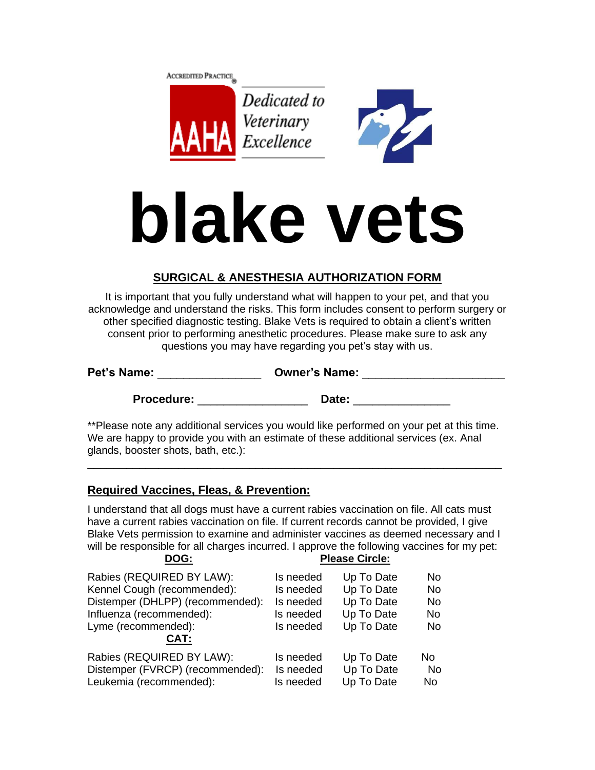



# **blake vets**

# **SURGICAL & ANESTHESIA AUTHORIZATION FORM**

It is important that you fully understand what will happen to your pet, and that you acknowledge and understand the risks. This form includes consent to perform surgery or other specified diagnostic testing. Blake Vets is required to obtain a client's written consent prior to performing anesthetic procedures. Please make sure to ask any questions you may have regarding you pet's stay with us.

| <b>Pet's Name:</b> | <b>Owner's Name:</b> |  |
|--------------------|----------------------|--|
|--------------------|----------------------|--|

Procedure: **Date: Procedure:**  $\qquad \qquad$  Date:

\*\*Please note any additional services you would like performed on your pet at this time. We are happy to provide you with an estimate of these additional services (ex. Anal glands, booster shots, bath, etc.):

\_\_\_\_\_\_\_\_\_\_\_\_\_\_\_\_\_\_\_\_\_\_\_\_\_\_\_\_\_\_\_\_\_\_\_\_\_\_\_\_\_\_\_\_\_\_\_\_\_\_\_\_\_\_\_\_\_\_\_\_\_\_\_\_

# **Required Vaccines, Fleas, & Prevention:**

I understand that all dogs must have a current rabies vaccination on file. All cats must have a current rabies vaccination on file. If current records cannot be provided, I give Blake Vets permission to examine and administer vaccines as deemed necessary and I will be responsible for all charges incurred. I approve the following vaccines for my pet:<br>
DOG:<br>
Please Circle: Please Circle:

|                                  |           | <b>IGUST AIL AIG</b> |           |
|----------------------------------|-----------|----------------------|-----------|
| Rabies (REQUIRED BY LAW):        | Is needed | Up To Date           | No        |
| Kennel Cough (recommended):      | Is needed | Up To Date           | No        |
| Distemper (DHLPP) (recommended): | Is needed | Up To Date           | No        |
| Influenza (recommended):         | Is needed | Up To Date           | <b>No</b> |
| Lyme (recommended):              | Is needed | Up To Date           | No.       |
| CAT:                             |           |                      |           |
| Rabies (REQUIRED BY LAW):        | Is needed | Up To Date           | No.       |
| Distemper (FVRCP) (recommended): | Is needed | Up To Date           | No        |
| Leukemia (recommended):          | Is needed | Up To Date           | No        |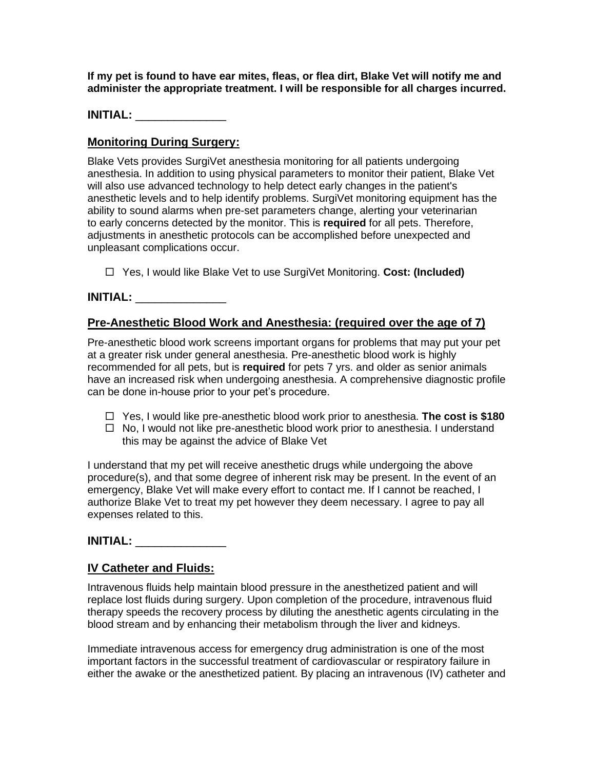**If my pet is found to have ear mites, fleas, or flea dirt, Blake Vet will notify me and administer the appropriate treatment. I will be responsible for all charges incurred.**

# **INITIAL:** \_\_\_\_\_\_\_\_\_\_\_\_\_\_

# **Monitoring During Surgery:**

Blake Vets provides SurgiVet anesthesia monitoring for all patients undergoing anesthesia. In addition to using physical parameters to monitor their patient, Blake Vet will also use advanced technology to help detect early changes in the patient's anesthetic levels and to help identify problems. SurgiVet monitoring equipment has the ability to sound alarms when pre-set parameters change, alerting your veterinarian to early concerns detected by the monitor. This is **required** for all pets. Therefore, adjustments in anesthetic protocols can be accomplished before unexpected and unpleasant complications occur.

Yes, I would like Blake Vet to use SurgiVet Monitoring. **Cost: (Included)**

# **INITIAL:** \_\_\_\_\_\_\_\_\_\_\_\_\_\_

# **Pre-Anesthetic Blood Work and Anesthesia: (required over the age of 7)**

Pre-anesthetic blood work screens important organs for problems that may put your pet at a greater risk under general anesthesia. Pre-anesthetic blood work is highly recommended for all pets, but is **required** for pets 7 yrs. and older as senior animals have an increased risk when undergoing anesthesia. A comprehensive diagnostic profile can be done in-house prior to your pet's procedure.

- Yes, I would like pre-anesthetic blood work prior to anesthesia. **The cost is \$180**
- $\Box$  No, I would not like pre-anesthetic blood work prior to anesthesia. I understand this may be against the advice of Blake Vet

I understand that my pet will receive anesthetic drugs while undergoing the above procedure(s), and that some degree of inherent risk may be present. In the event of an emergency, Blake Vet will make every effort to contact me. If I cannot be reached, I authorize Blake Vet to treat my pet however they deem necessary. I agree to pay all expenses related to this.

### **INITIAL:** \_\_\_\_\_\_\_\_\_\_\_\_\_\_

### **IV Catheter and Fluids:**

Intravenous fluids help maintain blood pressure in the anesthetized patient and will replace lost fluids during surgery. Upon completion of the procedure, intravenous fluid therapy speeds the recovery process by diluting the anesthetic agents circulating in the blood stream and by enhancing their metabolism through the liver and kidneys.

Immediate intravenous access for emergency drug administration is one of the most important factors in the successful treatment of cardiovascular or respiratory failure in either the awake or the anesthetized patient. By placing an intravenous (IV) catheter and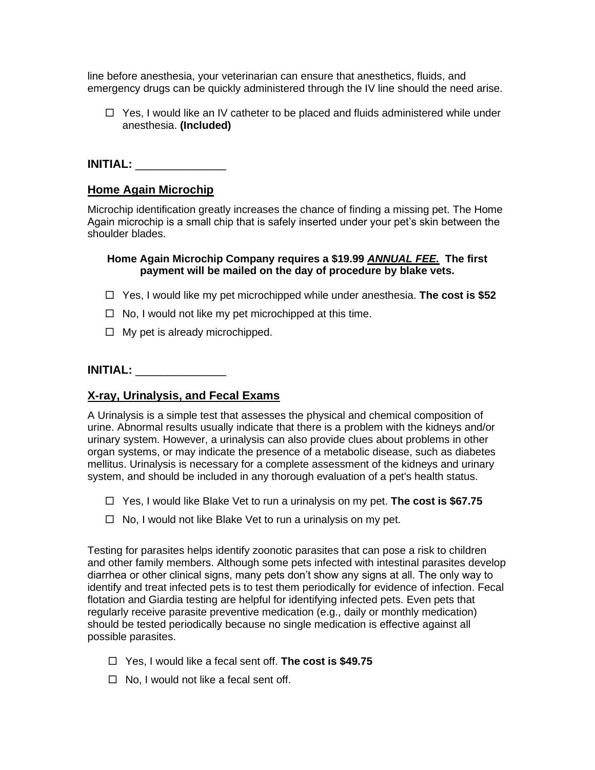line before anesthesia, your veterinarian can ensure that anesthetics, fluids, and emergency drugs can be quickly administered through the IV line should the need arise.

 $\Box$  Yes, I would like an IV catheter to be placed and fluids administered while under anesthesia. **(Included)**

# **INITIAL:** \_\_\_\_\_\_\_\_\_\_\_\_\_\_

### **Home Again Microchip**

Microchip identification greatly increases the chance of finding a missing pet. The Home Again microchip is a small chip that is safely inserted under your pet's skin between the shoulder blades.

### **Home Again Microchip Company requires a \$19.99** *ANNUAL FEE.* **The first payment will be mailed on the day of procedure by blake vets.**

- Yes, I would like my pet microchipped while under anesthesia. **The cost is \$52**
- $\Box$  No, I would not like my pet microchipped at this time.
- $\Box$  My pet is already microchipped.

# **INITIAL:** \_\_\_\_\_\_\_\_\_\_\_\_\_\_

### **X-ray, Urinalysis, and Fecal Exams**

A Urinalysis is a simple test that assesses the physical and chemical composition of urine. Abnormal results usually indicate that there is a problem with the kidneys and/or urinary system. However, a urinalysis can also provide clues about problems in other organ systems, or may indicate the presence of a metabolic disease, such as diabetes mellitus. Urinalysis is necessary for a complete assessment of the kidneys and urinary system, and should be included in any thorough evaluation of a pet's health status.

- Yes, I would like Blake Vet to run a urinalysis on my pet. **The cost is \$67.75**
- $\Box$  No, I would not like Blake Vet to run a urinalysis on my pet.

Testing for parasites helps identify zoonotic parasites that can pose a risk to children and other family members. Although some pets infected with intestinal parasites develop diarrhea or other clinical signs, many pets don't show any signs at all. The only way to identify and treat infected pets is to test them periodically for evidence of infection. Fecal flotation and Giardia testing are helpful for identifying infected pets. Even pets that regularly receive parasite preventive medication (e.g., daily or monthly medication) should be tested periodically because no single medication is effective against all possible parasites.

- Yes, I would like a fecal sent off. **The cost is \$49.75**
- $\Box$  No, I would not like a fecal sent off.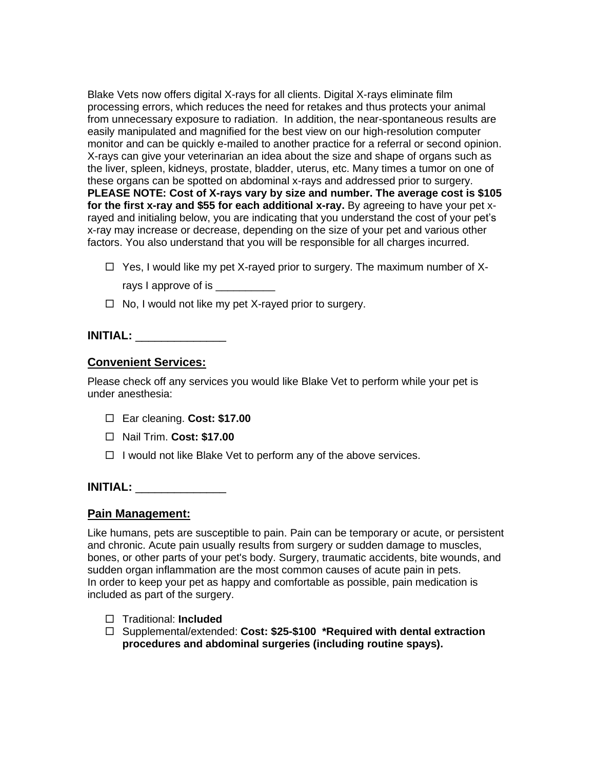Blake Vets now offers digital X-rays for all clients. Digital X-rays eliminate film processing errors, which reduces the need for retakes and thus protects your animal from unnecessary exposure to radiation. In addition, the near-spontaneous results are easily manipulated and magnified for the best view on our high-resolution computer monitor and can be quickly e-mailed to another practice for a referral or second opinion. X-rays can give your veterinarian an idea about the size and shape of organs such as the liver, spleen, kidneys, prostate, bladder, uterus, etc. Many times a tumor on one of these organs can be spotted on abdominal x-rays and addressed prior to surgery. **PLEASE NOTE: Cost of X-rays vary by size and number. The average cost is \$105 for the first x-ray and \$55 for each additional x-ray.** By agreeing to have your pet xrayed and initialing below, you are indicating that you understand the cost of your pet's x-ray may increase or decrease, depending on the size of your pet and various other factors. You also understand that you will be responsible for all charges incurred.

 $\Box$  Yes, I would like my pet X-rayed prior to surgery. The maximum number of X-

rays I approve of is

 $\Box$  No, I would not like my pet X-rayed prior to surgery.

### **INITIAL:** \_\_\_\_\_\_\_\_\_\_\_\_\_\_

### **Convenient Services:**

Please check off any services you would like Blake Vet to perform while your pet is under anesthesia:

- Ear cleaning. **Cost: \$17.00**
- Nail Trim. **Cost: \$17.00**
- $\Box$  I would not like Blake Vet to perform any of the above services.

### **INITIAL:** \_\_\_\_\_\_\_\_\_\_\_\_\_\_

### **Pain Management:**

Like humans, pets are susceptible to pain. Pain can be temporary or acute, or persistent and chronic. Acute pain usually results from surgery or sudden damage to muscles, bones, or other parts of your pet's body. Surgery, traumatic accidents, bite wounds, and sudden organ inflammation are the most common causes of acute pain in pets. In order to keep your pet as happy and comfortable as possible, pain medication is included as part of the surgery.

- □ Traditional: **Included**
- Supplemental/extended: **Cost: \$25-\$100 \*Required with dental extraction procedures and abdominal surgeries (including routine spays).**